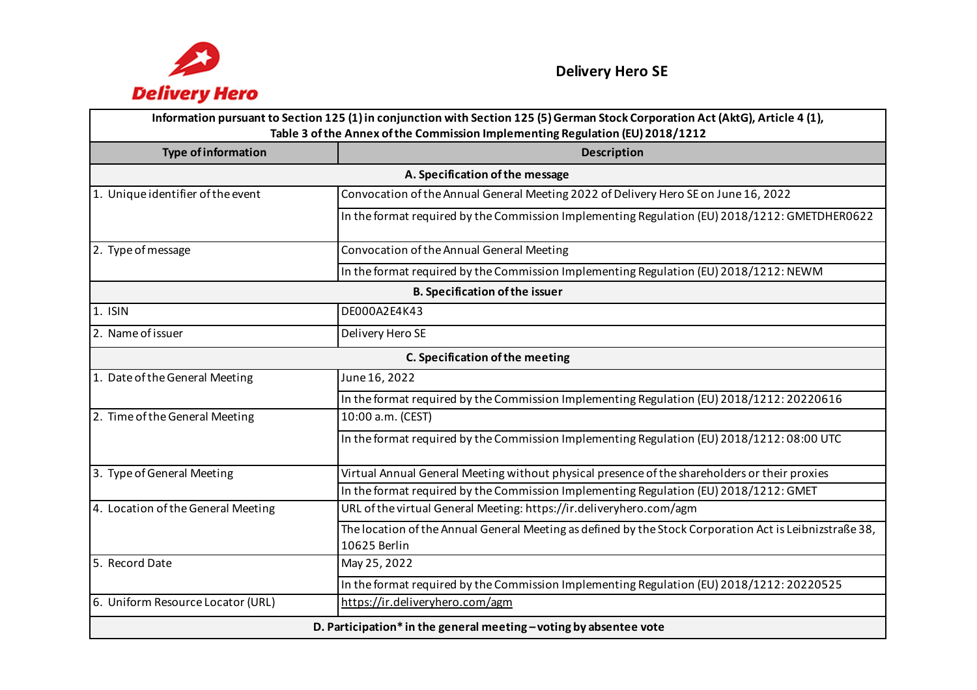

| Information pursuant to Section 125 (1) in conjunction with Section 125 (5) German Stock Corporation Act (AktG), Article 4 (1),<br>Table 3 of the Annex of the Commission Implementing Regulation (EU) 2018/1212 |                                                                                                                         |
|------------------------------------------------------------------------------------------------------------------------------------------------------------------------------------------------------------------|-------------------------------------------------------------------------------------------------------------------------|
| <b>Type of information</b>                                                                                                                                                                                       | <b>Description</b>                                                                                                      |
|                                                                                                                                                                                                                  | A. Specification of the message                                                                                         |
| 1. Unique identifier of the event                                                                                                                                                                                | Convocation of the Annual General Meeting 2022 of Delivery Hero SE on June 16, 2022                                     |
|                                                                                                                                                                                                                  | In the format required by the Commission Implementing Regulation (EU) 2018/1212: GMETDHER0622                           |
| 2. Type of message                                                                                                                                                                                               | Convocation of the Annual General Meeting                                                                               |
|                                                                                                                                                                                                                  | In the format required by the Commission Implementing Regulation (EU) 2018/1212: NEWM                                   |
| <b>B. Specification of the issuer</b>                                                                                                                                                                            |                                                                                                                         |
| 1. ISIN                                                                                                                                                                                                          | DE000A2E4K43                                                                                                            |
| 2. Name of issuer                                                                                                                                                                                                | Delivery Hero SE                                                                                                        |
|                                                                                                                                                                                                                  | C. Specification of the meeting                                                                                         |
| 1. Date of the General Meeting                                                                                                                                                                                   | June 16, 2022                                                                                                           |
|                                                                                                                                                                                                                  | In the format required by the Commission Implementing Regulation (EU) 2018/1212: 20220616                               |
| 2. Time of the General Meeting                                                                                                                                                                                   | 10:00 a.m. (CEST)                                                                                                       |
|                                                                                                                                                                                                                  | In the format required by the Commission Implementing Regulation (EU) 2018/1212: 08:00 UTC                              |
| 3. Type of General Meeting                                                                                                                                                                                       | Virtual Annual General Meeting without physical presence of the shareholders or their proxies                           |
|                                                                                                                                                                                                                  | In the format required by the Commission Implementing Regulation (EU) 2018/1212: GMET                                   |
| 4. Location of the General Meeting                                                                                                                                                                               | URL of the virtual General Meeting: https://ir.deliveryhero.com/agm                                                     |
|                                                                                                                                                                                                                  | The location of the Annual General Meeting as defined by the Stock Corporation Act is Leibnizstraße 38,<br>10625 Berlin |
| 5. Record Date                                                                                                                                                                                                   | May 25, 2022                                                                                                            |
|                                                                                                                                                                                                                  | In the format required by the Commission Implementing Regulation (EU) 2018/1212: 20220525                               |
| 6. Uniform Resource Locator (URL)                                                                                                                                                                                | https://ir.deliveryhero.com/agm                                                                                         |
| D. Participation* in the general meeting - voting by absentee vote                                                                                                                                               |                                                                                                                         |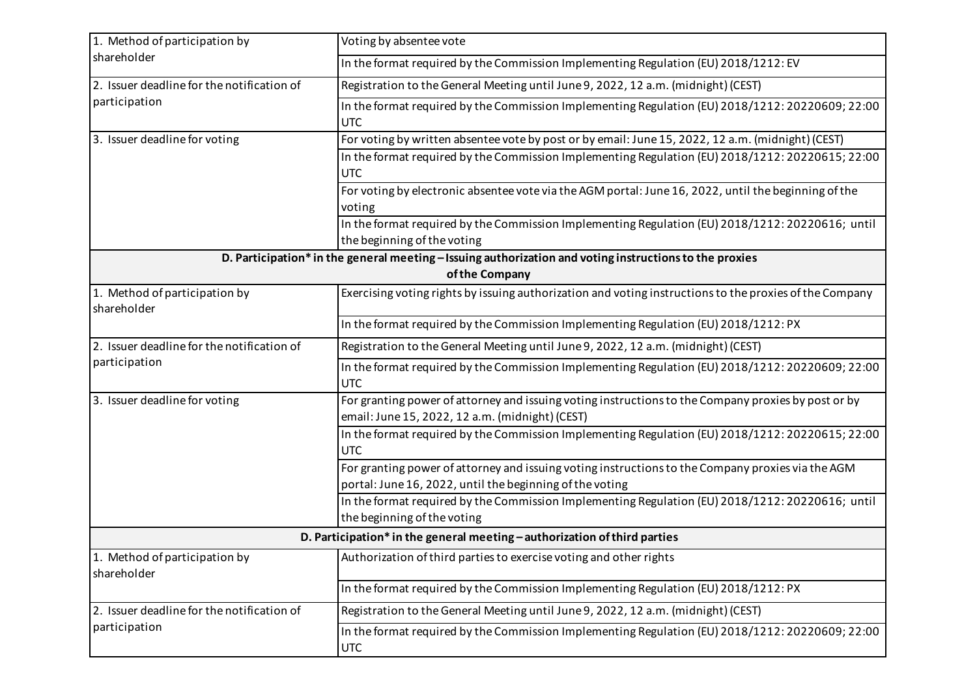| 1. Method of participation by<br>shareholder                | Voting by absentee vote                                                                                                                                       |
|-------------------------------------------------------------|---------------------------------------------------------------------------------------------------------------------------------------------------------------|
|                                                             | In the format required by the Commission Implementing Regulation (EU) 2018/1212: EV                                                                           |
| 2. Issuer deadline for the notification of<br>participation | Registration to the General Meeting until June 9, 2022, 12 a.m. (midnight) (CEST)                                                                             |
|                                                             | In the format required by the Commission Implementing Regulation (EU) 2018/1212: 20220609; 22:00<br><b>UTC</b>                                                |
| 3. Issuer deadline for voting                               | For voting by written absentee vote by post or by email: June 15, 2022, 12 a.m. (midnight) (CEST)                                                             |
|                                                             | In the format required by the Commission Implementing Regulation (EU) 2018/1212: 20220615; 22:00<br><b>UTC</b>                                                |
|                                                             | For voting by electronic absentee vote via the AGM portal: June 16, 2022, until the beginning of the<br>voting                                                |
|                                                             | In the format required by the Commission Implementing Regulation (EU) 2018/1212: 20220616; until<br>the beginning of the voting                               |
|                                                             | D. Participation* in the general meeting - Issuing authorization and voting instructions to the proxies                                                       |
|                                                             | of the Company                                                                                                                                                |
| 1. Method of participation by<br>shareholder                | Exercising voting rights by issuing authorization and voting instructions to the proxies of the Company                                                       |
|                                                             | In the format required by the Commission Implementing Regulation (EU) 2018/1212: PX                                                                           |
| 2. Issuer deadline for the notification of                  | Registration to the General Meeting until June 9, 2022, 12 a.m. (midnight) (CEST)                                                                             |
| participation                                               | In the format required by the Commission Implementing Regulation (EU) 2018/1212: 20220609; 22:00<br><b>UTC</b>                                                |
| 3. Issuer deadline for voting                               | For granting power of attorney and issuing voting instructions to the Company proxies by post or by<br>email: June 15, 2022, 12 a.m. (midnight) (CEST)        |
|                                                             | In the format required by the Commission Implementing Regulation (EU) 2018/1212: 20220615; 22:00<br><b>UTC</b>                                                |
|                                                             | For granting power of attorney and issuing voting instructions to the Company proxies via the AGM<br>portal: June 16, 2022, until the beginning of the voting |
|                                                             | In the format required by the Commission Implementing Regulation (EU) 2018/1212: 20220616; until<br>the beginning of the voting                               |
|                                                             | D. Participation* in the general meeting - authorization of third parties                                                                                     |
| 1. Method of participation by<br>shareholder                | Authorization of third parties to exercise voting and other rights                                                                                            |
|                                                             | In the format required by the Commission Implementing Regulation (EU) 2018/1212: PX                                                                           |
| 2. Issuer deadline for the notification of                  | Registration to the General Meeting until June 9, 2022, 12 a.m. (midnight) (CEST)                                                                             |
| participation                                               | In the format required by the Commission Implementing Regulation (EU) 2018/1212: 20220609; 22:00<br><b>UTC</b>                                                |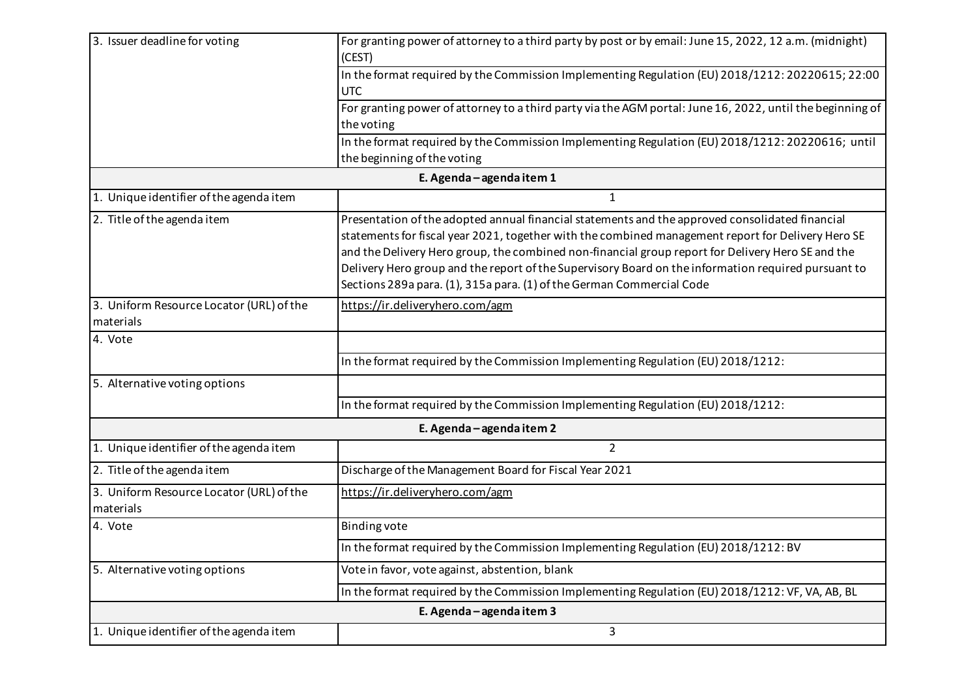| 3. Issuer deadline for voting                         | For granting power of attorney to a third party by post or by email: June 15, 2022, 12 a.m. (midnight)<br>(CEST)                                                                                                                                                                                                                                                                                                                                                                           |
|-------------------------------------------------------|--------------------------------------------------------------------------------------------------------------------------------------------------------------------------------------------------------------------------------------------------------------------------------------------------------------------------------------------------------------------------------------------------------------------------------------------------------------------------------------------|
|                                                       | In the format required by the Commission Implementing Regulation (EU) 2018/1212: 20220615; 22:00<br><b>UTC</b>                                                                                                                                                                                                                                                                                                                                                                             |
|                                                       | For granting power of attorney to a third party via the AGM portal: June 16, 2022, until the beginning of<br>the voting                                                                                                                                                                                                                                                                                                                                                                    |
|                                                       | In the format required by the Commission Implementing Regulation (EU) 2018/1212: 20220616; until<br>the beginning of the voting                                                                                                                                                                                                                                                                                                                                                            |
|                                                       | E. Agenda - agenda item 1                                                                                                                                                                                                                                                                                                                                                                                                                                                                  |
| 1. Unique identifier of the agenda item               | $\mathbf{1}$                                                                                                                                                                                                                                                                                                                                                                                                                                                                               |
| 2. Title of the agenda item                           | Presentation of the adopted annual financial statements and the approved consolidated financial<br>statements for fiscal year 2021, together with the combined management report for Delivery Hero SE<br>and the Delivery Hero group, the combined non-financial group report for Delivery Hero SE and the<br>Delivery Hero group and the report of the Supervisory Board on the information required pursuant to<br>Sections 289a para. (1), 315a para. (1) of the German Commercial Code |
| 3. Uniform Resource Locator (URL) of the<br>materials | https://ir.deliveryhero.com/agm                                                                                                                                                                                                                                                                                                                                                                                                                                                            |
| 4. Vote                                               |                                                                                                                                                                                                                                                                                                                                                                                                                                                                                            |
|                                                       | In the format required by the Commission Implementing Regulation (EU) 2018/1212:                                                                                                                                                                                                                                                                                                                                                                                                           |
| 5. Alternative voting options                         |                                                                                                                                                                                                                                                                                                                                                                                                                                                                                            |
|                                                       | In the format required by the Commission Implementing Regulation (EU) 2018/1212:                                                                                                                                                                                                                                                                                                                                                                                                           |
|                                                       | E. Agenda - agenda item 2                                                                                                                                                                                                                                                                                                                                                                                                                                                                  |
| 1. Unique identifier of the agenda item               | $\overline{2}$                                                                                                                                                                                                                                                                                                                                                                                                                                                                             |
| 2. Title of the agenda item                           | Discharge of the Management Board for Fiscal Year 2021                                                                                                                                                                                                                                                                                                                                                                                                                                     |
| 3. Uniform Resource Locator (URL) of the<br>materials | https://ir.deliveryhero.com/agm                                                                                                                                                                                                                                                                                                                                                                                                                                                            |
| 4. Vote                                               | <b>Binding vote</b>                                                                                                                                                                                                                                                                                                                                                                                                                                                                        |
|                                                       | In the format required by the Commission Implementing Regulation (EU) 2018/1212: BV                                                                                                                                                                                                                                                                                                                                                                                                        |
| 5. Alternative voting options                         | Vote in favor, vote against, abstention, blank                                                                                                                                                                                                                                                                                                                                                                                                                                             |
|                                                       | In the format required by the Commission Implementing Regulation (EU) 2018/1212: VF, VA, AB, BL                                                                                                                                                                                                                                                                                                                                                                                            |
| E. Agenda - agenda item 3                             |                                                                                                                                                                                                                                                                                                                                                                                                                                                                                            |
| 1. Unique identifier of the agenda item               | 3                                                                                                                                                                                                                                                                                                                                                                                                                                                                                          |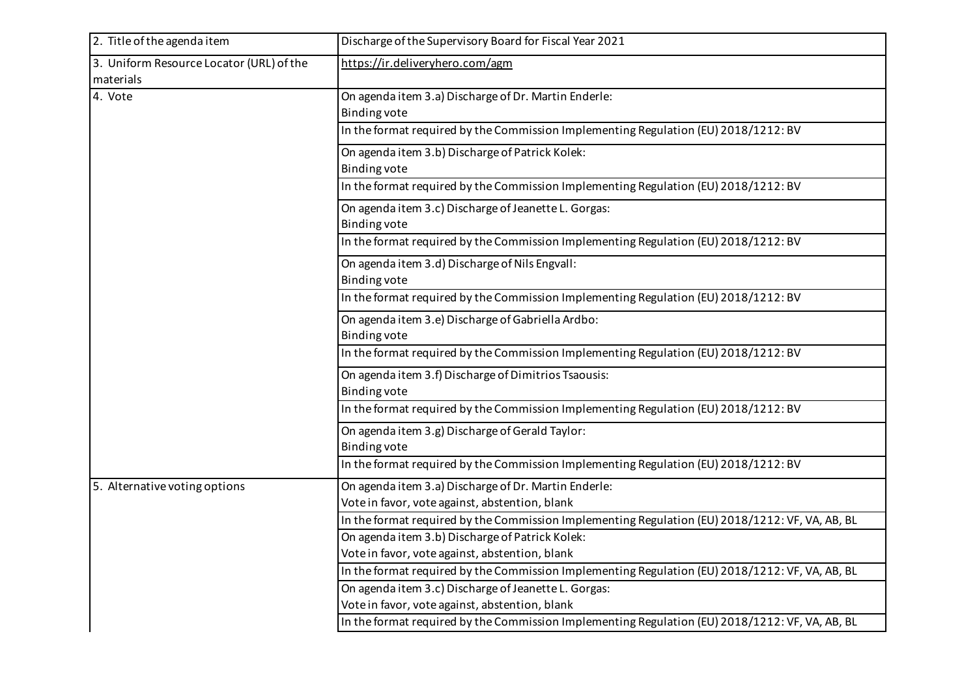| 2. Title of the agenda item                           | Discharge of the Supervisory Board for Fiscal Year 2021                                                |
|-------------------------------------------------------|--------------------------------------------------------------------------------------------------------|
| 3. Uniform Resource Locator (URL) of the<br>materials | https://ir.deliveryhero.com/agm                                                                        |
| 4. Vote                                               | On agenda item 3.a) Discharge of Dr. Martin Enderle:<br><b>Binding vote</b>                            |
|                                                       | In the format required by the Commission Implementing Regulation (EU) 2018/1212: BV                    |
|                                                       | On agenda item 3.b) Discharge of Patrick Kolek:<br><b>Binding vote</b>                                 |
|                                                       | In the format required by the Commission Implementing Regulation (EU) 2018/1212: BV                    |
|                                                       | On agenda item 3.c) Discharge of Jeanette L. Gorgas:<br><b>Binding vote</b>                            |
|                                                       | In the format required by the Commission Implementing Regulation (EU) 2018/1212: BV                    |
|                                                       | On agenda item 3.d) Discharge of Nils Engvall:<br><b>Binding vote</b>                                  |
|                                                       | In the format required by the Commission Implementing Regulation (EU) 2018/1212: BV                    |
|                                                       | On agenda item 3.e) Discharge of Gabriella Ardbo:<br><b>Binding vote</b>                               |
|                                                       | In the format required by the Commission Implementing Regulation (EU) 2018/1212: BV                    |
|                                                       | On agenda item 3.f) Discharge of Dimitrios Tsaousis:<br><b>Binding vote</b>                            |
|                                                       | In the format required by the Commission Implementing Regulation (EU) 2018/1212: BV                    |
|                                                       | On agenda item 3.g) Discharge of Gerald Taylor:<br><b>Binding vote</b>                                 |
|                                                       | In the format required by the Commission Implementing Regulation (EU) 2018/1212: BV                    |
| 5. Alternative voting options                         | On agenda item 3.a) Discharge of Dr. Martin Enderle:<br>Vote in favor, vote against, abstention, blank |
|                                                       | In the format required by the Commission Implementing Regulation (EU) 2018/1212: VF, VA, AB, BL        |
|                                                       | On agenda item 3.b) Discharge of Patrick Kolek:<br>Vote in favor, vote against, abstention, blank      |
|                                                       | In the format required by the Commission Implementing Regulation (EU) 2018/1212: VF, VA, AB, BL        |
|                                                       | On agenda item 3.c) Discharge of Jeanette L. Gorgas:                                                   |
|                                                       | Vote in favor, vote against, abstention, blank                                                         |
|                                                       | In the format required by the Commission Implementing Regulation (EU) 2018/1212: VF, VA, AB, BL        |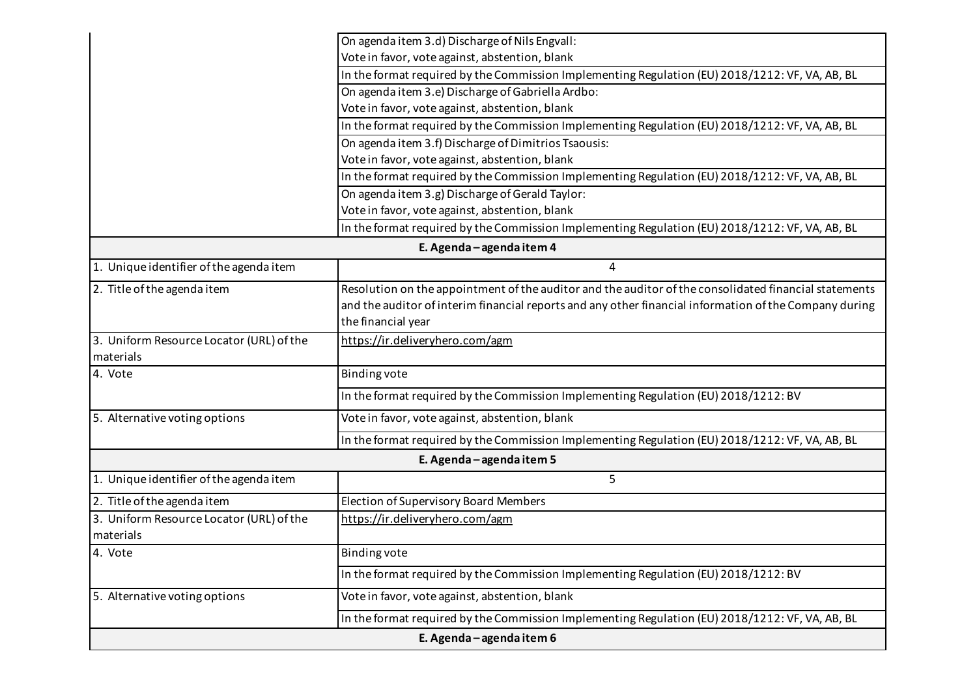|                                          | On agenda item 3.d) Discharge of Nils Engvall:                                                         |  |
|------------------------------------------|--------------------------------------------------------------------------------------------------------|--|
|                                          | Vote in favor, vote against, abstention, blank                                                         |  |
|                                          | In the format required by the Commission Implementing Regulation (EU) 2018/1212: VF, VA, AB, BL        |  |
|                                          | On agenda item 3.e) Discharge of Gabriella Ardbo:                                                      |  |
|                                          | Vote in favor, vote against, abstention, blank                                                         |  |
|                                          | In the format required by the Commission Implementing Regulation (EU) 2018/1212: VF, VA, AB, BL        |  |
|                                          | On agenda item 3.f) Discharge of Dimitrios Tsaousis:                                                   |  |
|                                          | Vote in favor, vote against, abstention, blank                                                         |  |
|                                          | In the format required by the Commission Implementing Regulation (EU) 2018/1212: VF, VA, AB, BL        |  |
|                                          | On agenda item 3.g) Discharge of Gerald Taylor:                                                        |  |
|                                          | Vote in favor, vote against, abstention, blank                                                         |  |
|                                          | In the format required by the Commission Implementing Regulation (EU) 2018/1212: VF, VA, AB, BL        |  |
| E. Agenda - agenda item 4                |                                                                                                        |  |
| 1. Unique identifier of the agenda item  | 4                                                                                                      |  |
| 2. Title of the agenda item              | Resolution on the appointment of the auditor and the auditor of the consolidated financial statements  |  |
|                                          | and the auditor of interim financial reports and any other financial information of the Company during |  |
|                                          | the financial year                                                                                     |  |
| 3. Uniform Resource Locator (URL) of the | https://ir.deliveryhero.com/agm                                                                        |  |
| materials                                |                                                                                                        |  |
| 4. Vote                                  | <b>Binding vote</b>                                                                                    |  |
|                                          | In the format required by the Commission Implementing Regulation (EU) 2018/1212: BV                    |  |
| 5. Alternative voting options            | Vote in favor, vote against, abstention, blank                                                         |  |
|                                          | In the format required by the Commission Implementing Regulation (EU) 2018/1212: VF, VA, AB, BL        |  |
|                                          | E. Agenda - agenda item 5                                                                              |  |
| 1. Unique identifier of the agenda item  | 5                                                                                                      |  |
| 2. Title of the agenda item              | <b>Election of Supervisory Board Members</b>                                                           |  |
| 3. Uniform Resource Locator (URL) of the | https://ir.deliveryhero.com/agm                                                                        |  |
| materials                                |                                                                                                        |  |
| 4. Vote                                  | Binding vote                                                                                           |  |
|                                          | In the format required by the Commission Implementing Regulation (EU) 2018/1212: BV                    |  |
| 5. Alternative voting options            | Vote in favor, vote against, abstention, blank                                                         |  |
|                                          | In the format required by the Commission Implementing Regulation (EU) 2018/1212: VF, VA, AB, BL        |  |
| E. Agenda - agenda item 6                |                                                                                                        |  |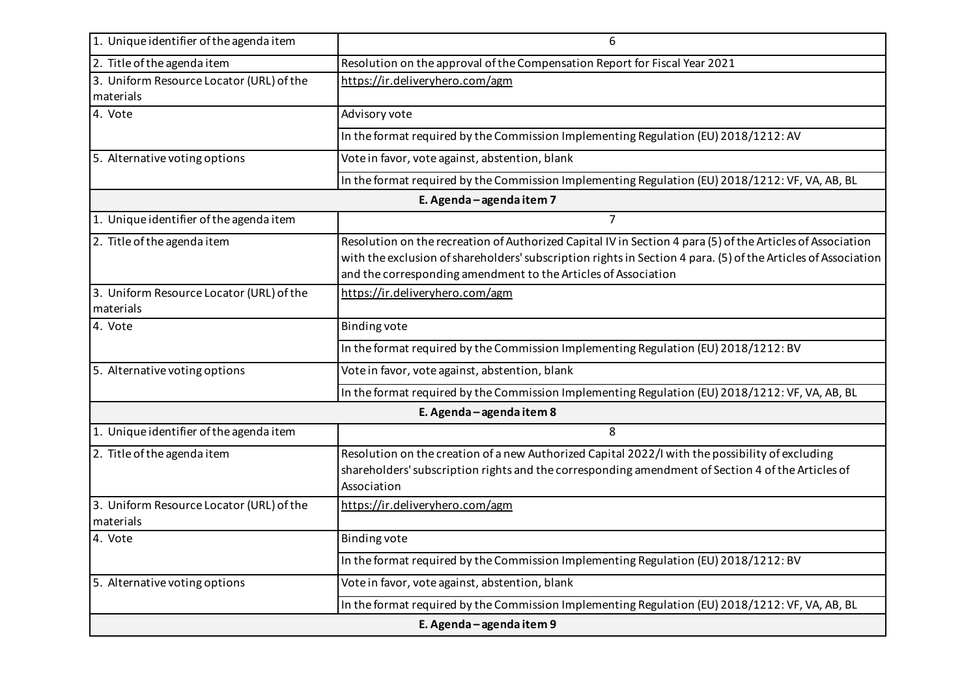| 1. Unique identifier of the agenda item               | 6                                                                                                                                                                                                                                                                                             |
|-------------------------------------------------------|-----------------------------------------------------------------------------------------------------------------------------------------------------------------------------------------------------------------------------------------------------------------------------------------------|
| 2. Title of the agenda item                           | Resolution on the approval of the Compensation Report for Fiscal Year 2021                                                                                                                                                                                                                    |
| 3. Uniform Resource Locator (URL) of the<br>materials | https://ir.deliveryhero.com/agm                                                                                                                                                                                                                                                               |
| 4. Vote                                               | Advisory vote                                                                                                                                                                                                                                                                                 |
|                                                       | In the format required by the Commission Implementing Regulation (EU) 2018/1212: AV                                                                                                                                                                                                           |
| 5. Alternative voting options                         | Vote in favor, vote against, abstention, blank                                                                                                                                                                                                                                                |
|                                                       | In the format required by the Commission Implementing Regulation (EU) 2018/1212: VF, VA, AB, BL                                                                                                                                                                                               |
|                                                       | E. Agenda - agenda item 7                                                                                                                                                                                                                                                                     |
| 1. Unique identifier of the agenda item               | $\overline{7}$                                                                                                                                                                                                                                                                                |
| 2. Title of the agenda item                           | Resolution on the recreation of Authorized Capital IV in Section 4 para (5) of the Articles of Association<br>with the exclusion of shareholders' subscription rights in Section 4 para. (5) of the Articles of Association<br>and the corresponding amendment to the Articles of Association |
| 3. Uniform Resource Locator (URL) of the<br>materials | https://ir.deliveryhero.com/agm                                                                                                                                                                                                                                                               |
| 4. Vote                                               | <b>Binding vote</b>                                                                                                                                                                                                                                                                           |
|                                                       | In the format required by the Commission Implementing Regulation (EU) 2018/1212: BV                                                                                                                                                                                                           |
| 5. Alternative voting options                         | Vote in favor, vote against, abstention, blank                                                                                                                                                                                                                                                |
|                                                       | In the format required by the Commission Implementing Regulation (EU) 2018/1212: VF, VA, AB, BL                                                                                                                                                                                               |
|                                                       | E. Agenda - agenda item 8                                                                                                                                                                                                                                                                     |
| 1. Unique identifier of the agenda item               | 8                                                                                                                                                                                                                                                                                             |
| 2. Title of the agenda item                           | Resolution on the creation of a new Authorized Capital 2022/I with the possibility of excluding<br>shareholders' subscription rights and the corresponding amendment of Section 4 of the Articles of<br>Association                                                                           |
| 3. Uniform Resource Locator (URL) of the<br>materials | https://ir.deliveryhero.com/agm                                                                                                                                                                                                                                                               |
| 4. Vote                                               | <b>Binding vote</b>                                                                                                                                                                                                                                                                           |
|                                                       | In the format required by the Commission Implementing Regulation (EU) 2018/1212: BV                                                                                                                                                                                                           |
| 5. Alternative voting options                         | Vote in favor, vote against, abstention, blank                                                                                                                                                                                                                                                |
|                                                       | In the format required by the Commission Implementing Regulation (EU) 2018/1212: VF, VA, AB, BL                                                                                                                                                                                               |
|                                                       | E. Agenda - agenda item 9                                                                                                                                                                                                                                                                     |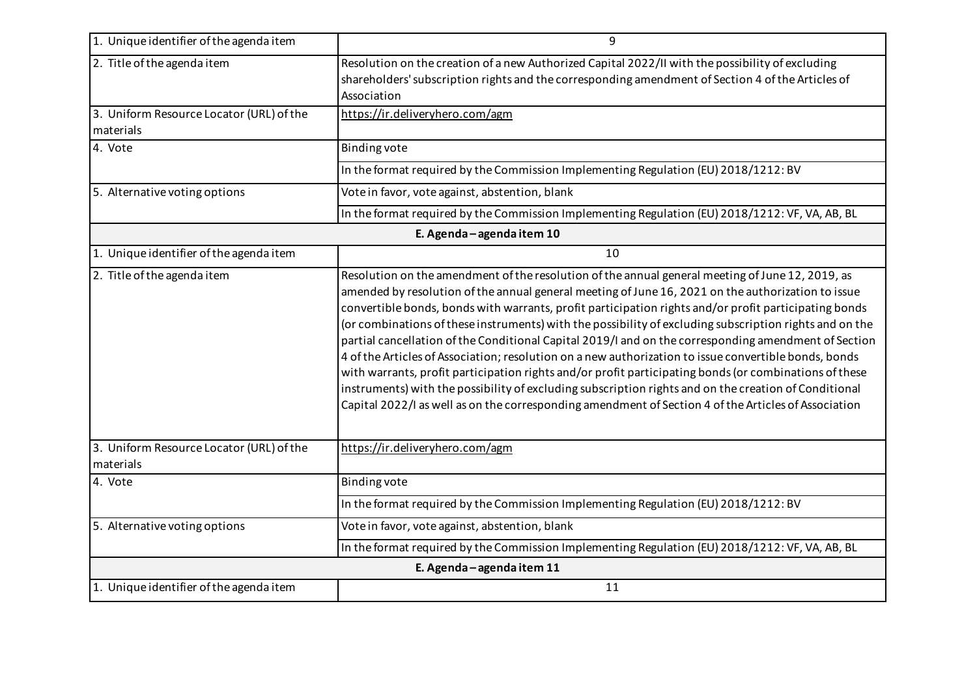| 1. Unique identifier of the agenda item               | 9                                                                                                                                                                                                                                                                                                                                                                                                                                                                                                                                                                                                                                                                                                                                                                                                                                                                                                                                                                      |
|-------------------------------------------------------|------------------------------------------------------------------------------------------------------------------------------------------------------------------------------------------------------------------------------------------------------------------------------------------------------------------------------------------------------------------------------------------------------------------------------------------------------------------------------------------------------------------------------------------------------------------------------------------------------------------------------------------------------------------------------------------------------------------------------------------------------------------------------------------------------------------------------------------------------------------------------------------------------------------------------------------------------------------------|
| 2. Title of the agenda item                           | Resolution on the creation of a new Authorized Capital 2022/II with the possibility of excluding<br>shareholders' subscription rights and the corresponding amendment of Section 4 of the Articles of<br>Association                                                                                                                                                                                                                                                                                                                                                                                                                                                                                                                                                                                                                                                                                                                                                   |
| 3. Uniform Resource Locator (URL) of the<br>materials | https://ir.deliveryhero.com/agm                                                                                                                                                                                                                                                                                                                                                                                                                                                                                                                                                                                                                                                                                                                                                                                                                                                                                                                                        |
| 4. Vote                                               | <b>Binding vote</b>                                                                                                                                                                                                                                                                                                                                                                                                                                                                                                                                                                                                                                                                                                                                                                                                                                                                                                                                                    |
|                                                       | In the format required by the Commission Implementing Regulation (EU) 2018/1212: BV                                                                                                                                                                                                                                                                                                                                                                                                                                                                                                                                                                                                                                                                                                                                                                                                                                                                                    |
| 5. Alternative voting options                         | Vote in favor, vote against, abstention, blank                                                                                                                                                                                                                                                                                                                                                                                                                                                                                                                                                                                                                                                                                                                                                                                                                                                                                                                         |
|                                                       | In the format required by the Commission Implementing Regulation (EU) 2018/1212: VF, VA, AB, BL                                                                                                                                                                                                                                                                                                                                                                                                                                                                                                                                                                                                                                                                                                                                                                                                                                                                        |
| E. Agenda - agenda item 10                            |                                                                                                                                                                                                                                                                                                                                                                                                                                                                                                                                                                                                                                                                                                                                                                                                                                                                                                                                                                        |
| 1. Unique identifier of the agenda item               | 10                                                                                                                                                                                                                                                                                                                                                                                                                                                                                                                                                                                                                                                                                                                                                                                                                                                                                                                                                                     |
| 2. Title of the agenda item                           | Resolution on the amendment of the resolution of the annual general meeting of June 12, 2019, as<br>amended by resolution of the annual general meeting of June 16, 2021 on the authorization to issue<br>convertible bonds, bonds with warrants, profit participation rights and/or profit participating bonds<br>(or combinations of these instruments) with the possibility of excluding subscription rights and on the<br>partial cancellation of the Conditional Capital 2019/I and on the corresponding amendment of Section<br>4 of the Articles of Association; resolution on a new authorization to issue convertible bonds, bonds<br>with warrants, profit participation rights and/or profit participating bonds (or combinations of these<br>instruments) with the possibility of excluding subscription rights and on the creation of Conditional<br>Capital 2022/I as well as on the corresponding amendment of Section 4 of the Articles of Association |
| 3. Uniform Resource Locator (URL) of the<br>materials | https://ir.deliveryhero.com/agm                                                                                                                                                                                                                                                                                                                                                                                                                                                                                                                                                                                                                                                                                                                                                                                                                                                                                                                                        |
| 4. Vote                                               | <b>Binding vote</b>                                                                                                                                                                                                                                                                                                                                                                                                                                                                                                                                                                                                                                                                                                                                                                                                                                                                                                                                                    |
|                                                       | In the format required by the Commission Implementing Regulation (EU) 2018/1212: BV                                                                                                                                                                                                                                                                                                                                                                                                                                                                                                                                                                                                                                                                                                                                                                                                                                                                                    |
| 5. Alternative voting options                         | Vote in favor, vote against, abstention, blank                                                                                                                                                                                                                                                                                                                                                                                                                                                                                                                                                                                                                                                                                                                                                                                                                                                                                                                         |
|                                                       | In the format required by the Commission Implementing Regulation (EU) 2018/1212: VF, VA, AB, BL                                                                                                                                                                                                                                                                                                                                                                                                                                                                                                                                                                                                                                                                                                                                                                                                                                                                        |
| E. Agenda - agenda item 11                            |                                                                                                                                                                                                                                                                                                                                                                                                                                                                                                                                                                                                                                                                                                                                                                                                                                                                                                                                                                        |
| 1. Unique identifier of the agenda item               | 11                                                                                                                                                                                                                                                                                                                                                                                                                                                                                                                                                                                                                                                                                                                                                                                                                                                                                                                                                                     |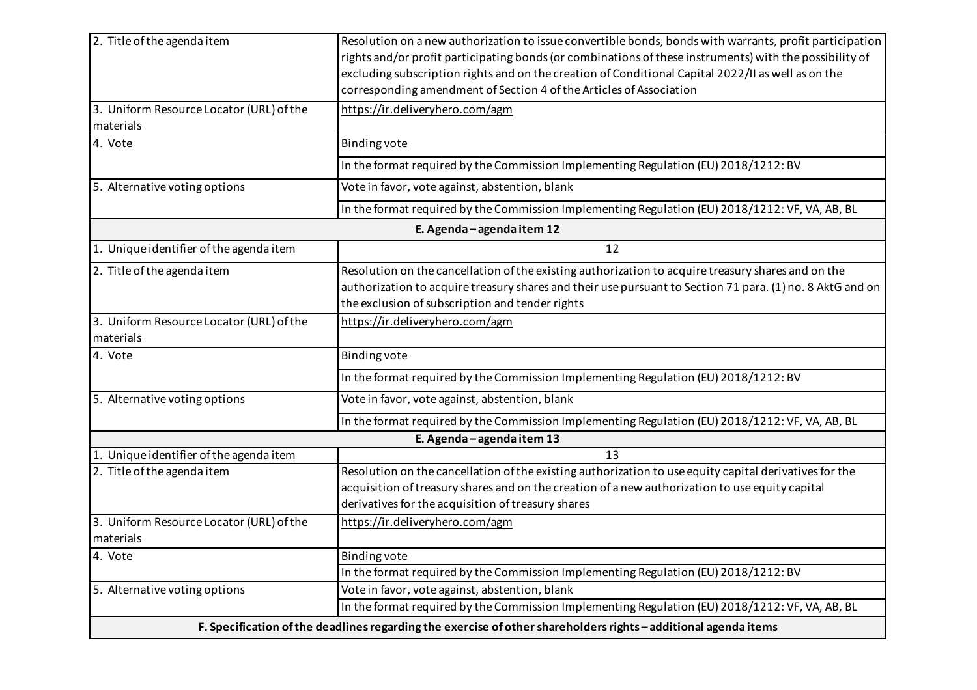| 2. Title of the agenda item              | Resolution on a new authorization to issue convertible bonds, bonds with warrants, profit participation         |
|------------------------------------------|-----------------------------------------------------------------------------------------------------------------|
|                                          | rights and/or profit participating bonds (or combinations of these instruments) with the possibility of         |
|                                          | excluding subscription rights and on the creation of Conditional Capital 2022/II as well as on the              |
|                                          | corresponding amendment of Section 4 of the Articles of Association                                             |
| 3. Uniform Resource Locator (URL) of the | https://ir.deliveryhero.com/agm                                                                                 |
| materials                                |                                                                                                                 |
| 4. Vote                                  | <b>Binding vote</b>                                                                                             |
|                                          | In the format required by the Commission Implementing Regulation (EU) 2018/1212: BV                             |
| 5. Alternative voting options            | Vote in favor, vote against, abstention, blank                                                                  |
|                                          | In the format required by the Commission Implementing Regulation (EU) 2018/1212: VF, VA, AB, BL                 |
|                                          | E. Agenda - agenda item 12                                                                                      |
| 1. Unique identifier of the agenda item  | 12                                                                                                              |
| 2. Title of the agenda item              | Resolution on the cancellation of the existing authorization to acquire treasury shares and on the              |
|                                          | authorization to acquire treasury shares and their use pursuant to Section 71 para. (1) no. 8 AktG and on       |
|                                          | the exclusion of subscription and tender rights                                                                 |
| 3. Uniform Resource Locator (URL) of the | https://ir.deliveryhero.com/agm                                                                                 |
| materials                                |                                                                                                                 |
| 4. Vote                                  | <b>Binding vote</b>                                                                                             |
|                                          | In the format required by the Commission Implementing Regulation (EU) 2018/1212: BV                             |
| 5. Alternative voting options            | Vote in favor, vote against, abstention, blank                                                                  |
|                                          | In the format required by the Commission Implementing Regulation (EU) 2018/1212: VF, VA, AB, BL                 |
|                                          | E. Agenda-agenda item 13                                                                                        |
| 1. Unique identifier of the agenda item  | 13                                                                                                              |
| 2. Title of the agenda item              | Resolution on the cancellation of the existing authorization to use equity capital derivatives for the          |
|                                          | acquisition of treasury shares and on the creation of a new authorization to use equity capital                 |
|                                          | derivatives for the acquisition of treasury shares                                                              |
| 3. Uniform Resource Locator (URL) of the | https://ir.deliveryhero.com/agm                                                                                 |
| materials                                |                                                                                                                 |
| 4. Vote                                  | <b>Binding vote</b>                                                                                             |
|                                          | In the format required by the Commission Implementing Regulation (EU) 2018/1212: BV                             |
| 5. Alternative voting options            | Vote in favor, vote against, abstention, blank                                                                  |
|                                          | In the format required by the Commission Implementing Regulation (EU) 2018/1212: VF, VA, AB, BL                 |
|                                          | F. Specification of the deadlines regarding the exercise of other shareholders rights - additional agenda items |